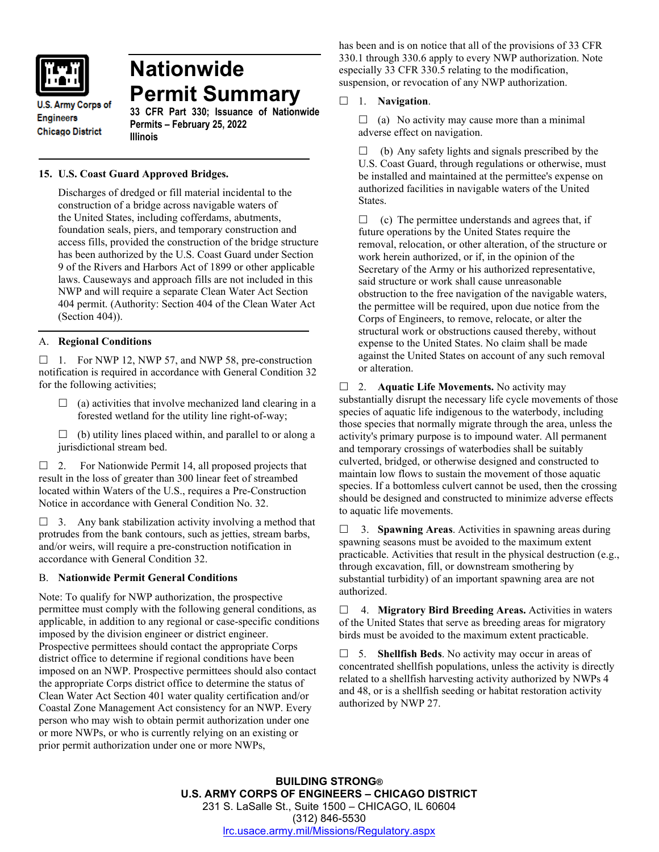

# **Nationwide Permit Summary**

**U.S. Army Corps of Engineers Chicago District** 

**33 CFR Part 330; Issuance of Nationwide Permits – February 25, 2022 Illinois**

# **15. U.S. Coast Guard Approved Bridges.**

Discharges of dredged or fill material incidental to the construction of a bridge across navigable waters of the United States, including cofferdams, abutments, foundation seals, piers, and temporary construction and access fills, provided the construction of the bridge structure has been authorized by the U.S. Coast Guard under Section 9 of the Rivers and Harbors Act of 1899 or other applicable laws. Causeways and approach fills are not included in this NWP and will require a separate Clean Water Act Section 404 permit. (Authority: Section 404 of the Clean Water Act (Section 404)).

# A. **Regional Conditions**

 $\Box$  1. For NWP 12, NWP 57, and NWP 58, pre-construction notification is required in accordance with General Condition 32 for the following activities;

- $\Box$  (a) activities that involve mechanized land clearing in a forested wetland for the utility line right-of-way;
- $\Box$  (b) utility lines placed within, and parallel to or along a jurisdictional stream bed.

 $\Box$  2. For Nationwide Permit 14, all proposed projects that result in the loss of greater than 300 linear feet of streambed located within Waters of the U.S., requires a Pre-Construction Notice in accordance with General Condition No. 32.

 $\Box$  3. Any bank stabilization activity involving a method that protrudes from the bank contours, such as jetties, stream barbs, and/or weirs, will require a pre-construction notification in accordance with General Condition 32.

# B. **Nationwide Permit General Conditions**

Note: To qualify for NWP authorization, the prospective permittee must comply with the following general conditions, as applicable, in addition to any regional or case-specific conditions imposed by the division engineer or district engineer. Prospective permittees should contact the appropriate Corps district office to determine if regional conditions have been imposed on an NWP. Prospective permittees should also contact the appropriate Corps district office to determine the status of Clean Water Act Section 401 water quality certification and/or Coastal Zone Management Act consistency for an NWP. Every person who may wish to obtain permit authorization under one or more NWPs, or who is currently relying on an existing or prior permit authorization under one or more NWPs,

has been and is on notice that all of the provisions of 33 CFR 330.1 through 330.6 apply to every NWP authorization. Note especially 33 CFR 330.5 relating to the modification, suspension, or revocation of any NWP authorization.

# 1. **Navigation**.

 $\Box$  (a) No activity may cause more than a minimal adverse effect on navigation.

 $\Box$  (b) Any safety lights and signals prescribed by the U.S. Coast Guard, through regulations or otherwise, must be installed and maintained at the permittee's expense on authorized facilities in navigable waters of the United States.

 $\Box$  (c) The permittee understands and agrees that, if future operations by the United States require the removal, relocation, or other alteration, of the structure or work herein authorized, or if, in the opinion of the Secretary of the Army or his authorized representative, said structure or work shall cause unreasonable obstruction to the free navigation of the navigable waters, the permittee will be required, upon due notice from the Corps of Engineers, to remove, relocate, or alter the structural work or obstructions caused thereby, without expense to the United States. No claim shall be made against the United States on account of any such removal or alteration.

□ 2. **Aquatic Life Movements.** No activity may substantially disrupt the necessary life cycle movements of those species of aquatic life indigenous to the waterbody, including those species that normally migrate through the area, unless the activity's primary purpose is to impound water. All permanent and temporary crossings of waterbodies shall be suitably culverted, bridged, or otherwise designed and constructed to maintain low flows to sustain the movement of those aquatic species. If a bottomless culvert cannot be used, then the crossing should be designed and constructed to minimize adverse effects to aquatic life movements.

 3. **Spawning Areas**. Activities in spawning areas during spawning seasons must be avoided to the maximum extent practicable. Activities that result in the physical destruction (e.g., through excavation, fill, or downstream smothering by substantial turbidity) of an important spawning area are not authorized.

 4. **Migratory Bird Breeding Areas.** Activities in waters of the United States that serve as breeding areas for migratory birds must be avoided to the maximum extent practicable.

 5. **Shellfish Beds**. No activity may occur in areas of concentrated shellfish populations, unless the activity is directly related to a shellfish harvesting activity authorized by NWPs 4 and 48, or is a shellfish seeding or habitat restoration activity authorized by NWP 27.

**BUILDING STRONG® U.S. ARMY CORPS OF ENGINEERS – CHICAGO DISTRICT** 231 S. LaSalle St., Suite 1500 – CHICAGO, IL 60604 (312) 846-5530 [lrc.usace.army.mil/Missions/Regulatory.aspx](https://www.lrc.usace.army.mil/Missions/Regulatory.aspx)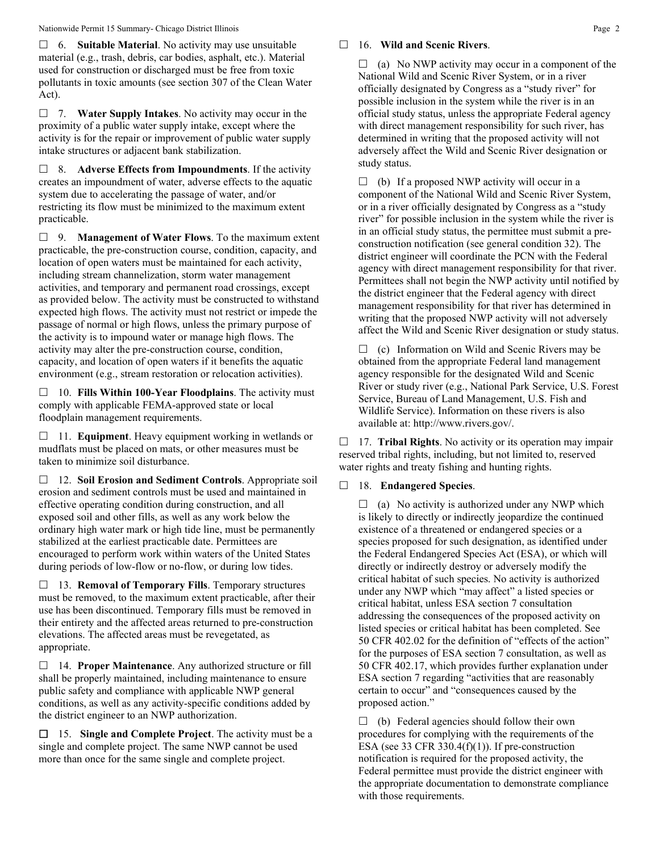6. **Suitable Material**. No activity may use unsuitable material (e.g., trash, debris, car bodies, asphalt, etc.). Material used for construction or discharged must be free from toxic pollutants in toxic amounts (see section 307 of the Clean Water Act).

 7. **Water Supply Intakes**. No activity may occur in the proximity of a public water supply intake, except where the activity is for the repair or improvement of public water supply intake structures or adjacent bank stabilization.

 8. **Adverse Effects from Impoundments**. If the activity creates an impoundment of water, adverse effects to the aquatic system due to accelerating the passage of water, and/or restricting its flow must be minimized to the maximum extent practicable.

 9. **Management of Water Flows**. To the maximum extent practicable, the pre-construction course, condition, capacity, and location of open waters must be maintained for each activity, including stream channelization, storm water management activities, and temporary and permanent road crossings, except as provided below. The activity must be constructed to withstand expected high flows. The activity must not restrict or impede the passage of normal or high flows, unless the primary purpose of the activity is to impound water or manage high flows. The activity may alter the pre-construction course, condition, capacity, and location of open waters if it benefits the aquatic environment (e.g., stream restoration or relocation activities).

 10. **Fills Within 100-Year Floodplains**. The activity must comply with applicable FEMA-approved state or local floodplain management requirements.

□ 11. **Equipment**. Heavy equipment working in wetlands or mudflats must be placed on mats, or other measures must be taken to minimize soil disturbance.

 12. **Soil Erosion and Sediment Controls**. Appropriate soil erosion and sediment controls must be used and maintained in effective operating condition during construction, and all exposed soil and other fills, as well as any work below the ordinary high water mark or high tide line, must be permanently stabilized at the earliest practicable date. Permittees are encouraged to perform work within waters of the United States during periods of low-flow or no-flow, or during low tides.

 13. **Removal of Temporary Fills**. Temporary structures must be removed, to the maximum extent practicable, after their use has been discontinued. Temporary fills must be removed in their entirety and the affected areas returned to pre-construction elevations. The affected areas must be revegetated, as appropriate.

 14. **Proper Maintenance**. Any authorized structure or fill shall be properly maintained, including maintenance to ensure public safety and compliance with applicable NWP general conditions, as well as any activity-specific conditions added by the district engineer to an NWP authorization.

 15. **Single and Complete Project**. The activity must be a single and complete project. The same NWP cannot be used more than once for the same single and complete project.

## 16. **Wild and Scenic Rivers**.

 $\Box$  (a) No NWP activity may occur in a component of the National Wild and Scenic River System, or in a river officially designated by Congress as a "study river" for possible inclusion in the system while the river is in an official study status, unless the appropriate Federal agency with direct management responsibility for such river, has determined in writing that the proposed activity will not adversely affect the Wild and Scenic River designation or study status.

 $\Box$  (b) If a proposed NWP activity will occur in a component of the National Wild and Scenic River System, or in a river officially designated by Congress as a "study river" for possible inclusion in the system while the river is in an official study status, the permittee must submit a preconstruction notification (see general condition 32). The district engineer will coordinate the PCN with the Federal agency with direct management responsibility for that river. Permittees shall not begin the NWP activity until notified by the district engineer that the Federal agency with direct management responsibility for that river has determined in writing that the proposed NWP activity will not adversely affect the Wild and Scenic River designation or study status.

 $\Box$  (c) Information on Wild and Scenic Rivers may be obtained from the appropriate Federal land management agency responsible for the designated Wild and Scenic River or study river (e.g., National Park Service, U.S. Forest Service, Bureau of Land Management, U.S. Fish and Wildlife Service). Information on these rivers is also available at: http://www.rivers.gov/.

□ 17. **Tribal Rights**. No activity or its operation may impair reserved tribal rights, including, but not limited to, reserved water rights and treaty fishing and hunting rights.

# 18. **Endangered Species**.

 $\Box$  (a) No activity is authorized under any NWP which is likely to directly or indirectly jeopardize the continued existence of a threatened or endangered species or a species proposed for such designation, as identified under the Federal Endangered Species Act (ESA), or which will directly or indirectly destroy or adversely modify the critical habitat of such species. No activity is authorized under any NWP which "may affect" a listed species or critical habitat, unless ESA section 7 consultation addressing the consequences of the proposed activity on listed species or critical habitat has been completed. See 50 CFR 402.02 for the definition of "effects of the action" for the purposes of ESA section 7 consultation, as well as 50 CFR 402.17, which provides further explanation under ESA section 7 regarding "activities that are reasonably certain to occur" and "consequences caused by the proposed action."

 $\Box$  (b) Federal agencies should follow their own procedures for complying with the requirements of the ESA (see 33 CFR 330.4 $(f)(1)$ ). If pre-construction notification is required for the proposed activity, the Federal permittee must provide the district engineer with the appropriate documentation to demonstrate compliance with those requirements.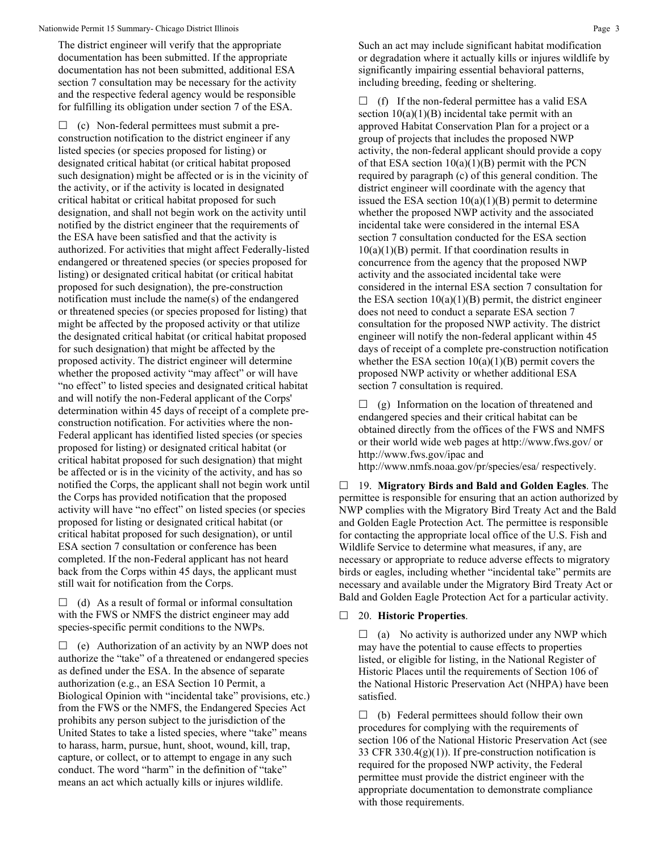The district engineer will verify that the appropriate documentation has been submitted. If the appropriate documentation has not been submitted, additional ESA section 7 consultation may be necessary for the activity and the respective federal agency would be responsible for fulfilling its obligation under section 7 of the ESA.

 $\Box$  (c) Non-federal permittees must submit a preconstruction notification to the district engineer if any listed species (or species proposed for listing) or designated critical habitat (or critical habitat proposed such designation) might be affected or is in the vicinity of the activity, or if the activity is located in designated critical habitat or critical habitat proposed for such designation, and shall not begin work on the activity until notified by the district engineer that the requirements of the ESA have been satisfied and that the activity is authorized. For activities that might affect Federally-listed endangered or threatened species (or species proposed for listing) or designated critical habitat (or critical habitat proposed for such designation), the pre-construction notification must include the name(s) of the endangered or threatened species (or species proposed for listing) that might be affected by the proposed activity or that utilize the designated critical habitat (or critical habitat proposed for such designation) that might be affected by the proposed activity. The district engineer will determine whether the proposed activity "may affect" or will have "no effect" to listed species and designated critical habitat and will notify the non-Federal applicant of the Corps' determination within 45 days of receipt of a complete preconstruction notification. For activities where the non-Federal applicant has identified listed species (or species proposed for listing) or designated critical habitat (or critical habitat proposed for such designation) that might be affected or is in the vicinity of the activity, and has so notified the Corps, the applicant shall not begin work until the Corps has provided notification that the proposed activity will have "no effect" on listed species (or species proposed for listing or designated critical habitat (or critical habitat proposed for such designation), or until ESA section 7 consultation or conference has been completed. If the non-Federal applicant has not heard back from the Corps within 45 days, the applicant must still wait for notification from the Corps.

 $\Box$  (d) As a result of formal or informal consultation with the FWS or NMFS the district engineer may add species-specific permit conditions to the NWPs.

 $\Box$  (e) Authorization of an activity by an NWP does not authorize the "take" of a threatened or endangered species as defined under the ESA. In the absence of separate authorization (e.g., an ESA Section 10 Permit, a Biological Opinion with "incidental take" provisions, etc.) from the FWS or the NMFS, the Endangered Species Act prohibits any person subject to the jurisdiction of the United States to take a listed species, where "take" means to harass, harm, pursue, hunt, shoot, wound, kill, trap, capture, or collect, or to attempt to engage in any such conduct. The word "harm" in the definition of "take" means an act which actually kills or injures wildlife.

Such an act may include significant habitat modification or degradation where it actually kills or injures wildlife by significantly impairing essential behavioral patterns, including breeding, feeding or sheltering.

 $\Box$  (f) If the non-federal permittee has a valid ESA section  $10(a)(1)(B)$  incidental take permit with an approved Habitat Conservation Plan for a project or a group of projects that includes the proposed NWP activity, the non-federal applicant should provide a copy of that ESA section  $10(a)(1)(B)$  permit with the PCN required by paragraph (c) of this general condition. The district engineer will coordinate with the agency that issued the ESA section  $10(a)(1)(B)$  permit to determine whether the proposed NWP activity and the associated incidental take were considered in the internal ESA section 7 consultation conducted for the ESA section  $10(a)(1)(B)$  permit. If that coordination results in concurrence from the agency that the proposed NWP activity and the associated incidental take were considered in the internal ESA section 7 consultation for the ESA section  $10(a)(1)(B)$  permit, the district engineer does not need to conduct a separate ESA section 7 consultation for the proposed NWP activity. The district engineer will notify the non-federal applicant within 45 days of receipt of a complete pre-construction notification whether the ESA section  $10(a)(1)(B)$  permit covers the proposed NWP activity or whether additional ESA section 7 consultation is required.

 $\Box$  (g) Information on the location of threatened and endangered species and their critical habitat can be obtained directly from the offices of the FWS and NMFS or their world wide web pages at http://www.fws.gov/ or http://www.fws.gov/ipac and

http://www.nmfs.noaa.gov/pr/species/esa/ respectively.

 19. **Migratory Birds and Bald and Golden Eagles**. The permittee is responsible for ensuring that an action authorized by NWP complies with the Migratory Bird Treaty Act and the Bald and Golden Eagle Protection Act. The permittee is responsible for contacting the appropriate local office of the U.S. Fish and Wildlife Service to determine what measures, if any, are necessary or appropriate to reduce adverse effects to migratory birds or eagles, including whether "incidental take" permits are necessary and available under the Migratory Bird Treaty Act or Bald and Golden Eagle Protection Act for a particular activity.

## 20. **Historic Properties**.

 $\Box$  (a) No activity is authorized under any NWP which may have the potential to cause effects to properties listed, or eligible for listing, in the National Register of Historic Places until the requirements of Section 106 of the National Historic Preservation Act (NHPA) have been satisfied.

 $\Box$  (b) Federal permittees should follow their own procedures for complying with the requirements of section 106 of the National Historic Preservation Act (see 33 CFR 330.4 $(g)(1)$ ). If pre-construction notification is required for the proposed NWP activity, the Federal permittee must provide the district engineer with the appropriate documentation to demonstrate compliance with those requirements.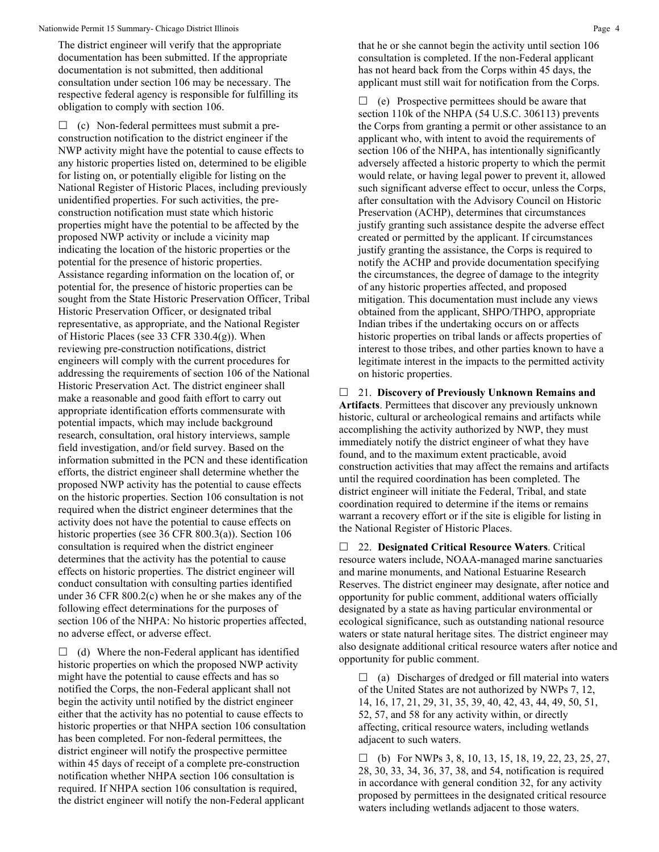The district engineer will verify that the appropriate documentation has been submitted. If the appropriate documentation is not submitted, then additional consultation under section 106 may be necessary. The respective federal agency is responsible for fulfilling its obligation to comply with section 106.

 $\Box$  (c) Non-federal permittees must submit a preconstruction notification to the district engineer if the NWP activity might have the potential to cause effects to any historic properties listed on, determined to be eligible for listing on, or potentially eligible for listing on the National Register of Historic Places, including previously unidentified properties. For such activities, the preconstruction notification must state which historic properties might have the potential to be affected by the proposed NWP activity or include a vicinity map indicating the location of the historic properties or the potential for the presence of historic properties. Assistance regarding information on the location of, or potential for, the presence of historic properties can be sought from the State Historic Preservation Officer, Tribal Historic Preservation Officer, or designated tribal representative, as appropriate, and the National Register of Historic Places (see 33 CFR 330.4(g)). When reviewing pre-construction notifications, district engineers will comply with the current procedures for addressing the requirements of section 106 of the National Historic Preservation Act. The district engineer shall make a reasonable and good faith effort to carry out appropriate identification efforts commensurate with potential impacts, which may include background research, consultation, oral history interviews, sample field investigation, and/or field survey. Based on the information submitted in the PCN and these identification efforts, the district engineer shall determine whether the proposed NWP activity has the potential to cause effects on the historic properties. Section 106 consultation is not required when the district engineer determines that the activity does not have the potential to cause effects on historic properties (see 36 CFR 800.3(a)). Section 106 consultation is required when the district engineer determines that the activity has the potential to cause effects on historic properties. The district engineer will conduct consultation with consulting parties identified under 36 CFR 800.2(c) when he or she makes any of the following effect determinations for the purposes of section 106 of the NHPA: No historic properties affected, no adverse effect, or adverse effect.

 $\Box$  (d) Where the non-Federal applicant has identified historic properties on which the proposed NWP activity might have the potential to cause effects and has so notified the Corps, the non-Federal applicant shall not begin the activity until notified by the district engineer either that the activity has no potential to cause effects to historic properties or that NHPA section 106 consultation has been completed. For non-federal permittees, the district engineer will notify the prospective permittee within 45 days of receipt of a complete pre-construction notification whether NHPA section 106 consultation is required. If NHPA section 106 consultation is required, the district engineer will notify the non-Federal applicant

that he or she cannot begin the activity until section 106 consultation is completed. If the non-Federal applicant has not heard back from the Corps within 45 days, the applicant must still wait for notification from the Corps.

 $\Box$  (e) Prospective permittees should be aware that section 110k of the NHPA (54 U.S.C. 306113) prevents the Corps from granting a permit or other assistance to an applicant who, with intent to avoid the requirements of section 106 of the NHPA, has intentionally significantly adversely affected a historic property to which the permit would relate, or having legal power to prevent it, allowed such significant adverse effect to occur, unless the Corps, after consultation with the Advisory Council on Historic Preservation (ACHP), determines that circumstances justify granting such assistance despite the adverse effect created or permitted by the applicant. If circumstances justify granting the assistance, the Corps is required to notify the ACHP and provide documentation specifying the circumstances, the degree of damage to the integrity of any historic properties affected, and proposed mitigation. This documentation must include any views obtained from the applicant, SHPO/THPO, appropriate Indian tribes if the undertaking occurs on or affects historic properties on tribal lands or affects properties of interest to those tribes, and other parties known to have a legitimate interest in the impacts to the permitted activity on historic properties.

 21. **Discovery of Previously Unknown Remains and Artifacts**. Permittees that discover any previously unknown historic, cultural or archeological remains and artifacts while accomplishing the activity authorized by NWP, they must immediately notify the district engineer of what they have found, and to the maximum extent practicable, avoid construction activities that may affect the remains and artifacts until the required coordination has been completed. The district engineer will initiate the Federal, Tribal, and state coordination required to determine if the items or remains warrant a recovery effort or if the site is eligible for listing in the National Register of Historic Places.

 22. **Designated Critical Resource Waters**. Critical resource waters include, NOAA-managed marine sanctuaries and marine monuments, and National Estuarine Research Reserves. The district engineer may designate, after notice and opportunity for public comment, additional waters officially designated by a state as having particular environmental or ecological significance, such as outstanding national resource waters or state natural heritage sites. The district engineer may also designate additional critical resource waters after notice and opportunity for public comment.

 $\Box$  (a) Discharges of dredged or fill material into waters of the United States are not authorized by NWPs 7, 12, 14, 16, 17, 21, 29, 31, 35, 39, 40, 42, 43, 44, 49, 50, 51, 52, 57, and 58 for any activity within, or directly affecting, critical resource waters, including wetlands adjacent to such waters.

 $\Box$  (b) For NWPs 3, 8, 10, 13, 15, 18, 19, 22, 23, 25, 27, 28, 30, 33, 34, 36, 37, 38, and 54, notification is required in accordance with general condition 32, for any activity proposed by permittees in the designated critical resource waters including wetlands adjacent to those waters.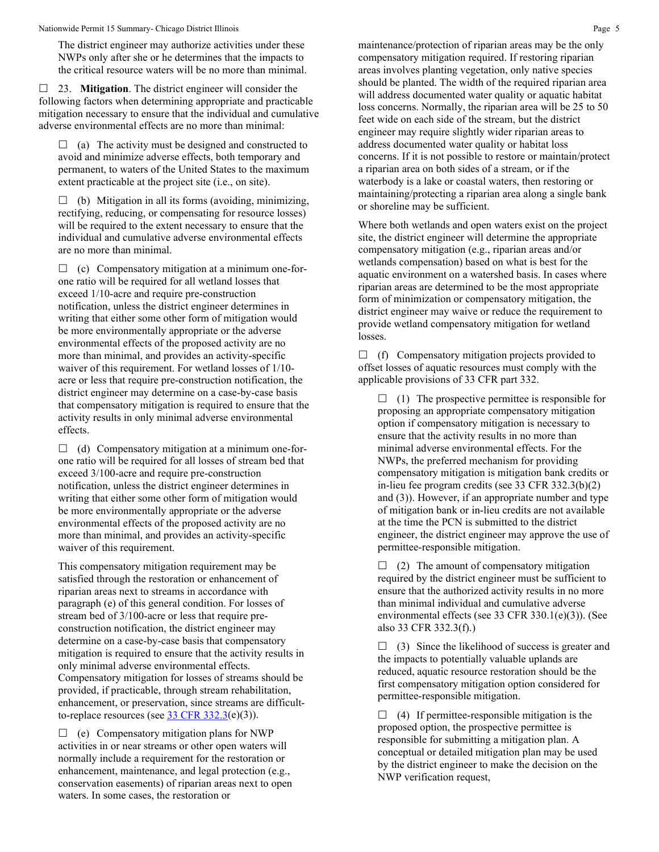The district engineer may authorize activities under these NWPs only after she or he determines that the impacts to the critical resource waters will be no more than minimal.

 23. **Mitigation**. The district engineer will consider the following factors when determining appropriate and practicable mitigation necessary to ensure that the individual and cumulative adverse environmental effects are no more than minimal:

 $\Box$  (a) The activity must be designed and constructed to avoid and minimize adverse effects, both temporary and permanent, to waters of the United States to the maximum extent practicable at the project site (i.e., on site).

 $\Box$  (b) Mitigation in all its forms (avoiding, minimizing, rectifying, reducing, or compensating for resource losses) will be required to the extent necessary to ensure that the individual and cumulative adverse environmental effects are no more than minimal.

 $\Box$  (c) Compensatory mitigation at a minimum one-forone ratio will be required for all wetland losses that exceed 1/10-acre and require pre-construction notification, unless the district engineer determines in writing that either some other form of mitigation would be more environmentally appropriate or the adverse environmental effects of the proposed activity are no more than minimal, and provides an activity-specific waiver of this requirement. For wetland losses of 1/10 acre or less that require pre-construction notification, the district engineer may determine on a case-by-case basis that compensatory mitigation is required to ensure that the activity results in only minimal adverse environmental effects.

 $\Box$  (d) Compensatory mitigation at a minimum one-forone ratio will be required for all losses of stream bed that exceed 3/100-acre and require pre-construction notification, unless the district engineer determines in writing that either some other form of mitigation would be more environmentally appropriate or the adverse environmental effects of the proposed activity are no more than minimal, and provides an activity-specific waiver of this requirement.

This compensatory mitigation requirement may be satisfied through the restoration or enhancement of riparian areas next to streams in accordance with paragraph (e) of this general condition. For losses of stream bed of 3/100-acre or less that require preconstruction notification, the district engineer may determine on a case-by-case basis that compensatory mitigation is required to ensure that the activity results in only minimal adverse environmental effects. Compensatory mitigation for losses of streams should be provided, if practicable, through stream rehabilitation, enhancement, or preservation, since streams are difficultto-replace resources (see  $33 \text{ CFR } 332.3(e)(3)$ ).

 $\Box$  (e) Compensatory mitigation plans for NWP activities in or near streams or other open waters will normally include a requirement for the restoration or enhancement, maintenance, and legal protection (e.g., conservation easements) of riparian areas next to open waters. In some cases, the restoration or

maintenance/protection of riparian areas may be the only compensatory mitigation required. If restoring riparian areas involves planting vegetation, only native species should be planted. The width of the required riparian area will address documented water quality or aquatic habitat loss concerns. Normally, the riparian area will be 25 to 50 feet wide on each side of the stream, but the district engineer may require slightly wider riparian areas to address documented water quality or habitat loss concerns. If it is not possible to restore or maintain/protect a riparian area on both sides of a stream, or if the waterbody is a lake or coastal waters, then restoring or maintaining/protecting a riparian area along a single bank or shoreline may be sufficient.

Where both wetlands and open waters exist on the project site, the district engineer will determine the appropriate compensatory mitigation (e.g., riparian areas and/or wetlands compensation) based on what is best for the aquatic environment on a watershed basis. In cases where riparian areas are determined to be the most appropriate form of minimization or compensatory mitigation, the district engineer may waive or reduce the requirement to provide wetland compensatory mitigation for wetland losses.

 $\Box$  (f) Compensatory mitigation projects provided to offset losses of aquatic resources must comply with the applicable provisions of 33 CFR part 332.

 $\Box$  (1) The prospective permittee is responsible for proposing an appropriate compensatory mitigation option if compensatory mitigation is necessary to ensure that the activity results in no more than minimal adverse environmental effects. For the NWPs, the preferred mechanism for providing compensatory mitigation is mitigation bank credits or in-lieu fee program credits (see 33 CFR 332.3(b)(2) and (3)). However, if an appropriate number and type of mitigation bank or in-lieu credits are not available at the time the PCN is submitted to the district engineer, the district engineer may approve the use of permittee-responsible mitigation.

 $\Box$  (2) The amount of compensatory mitigation required by the district engineer must be sufficient to ensure that the authorized activity results in no more than minimal individual and cumulative adverse environmental effects (see 33 CFR 330.1(e)(3)). (See also 33 CFR 332.3(f).)

 $\Box$  (3) Since the likelihood of success is greater and the impacts to potentially valuable uplands are reduced, aquatic resource restoration should be the first compensatory mitigation option considered for permittee-responsible mitigation.

 $\Box$  (4) If permittee-responsible mitigation is the proposed option, the prospective permittee is responsible for submitting a mitigation plan. A conceptual or detailed mitigation plan may be used by the district engineer to make the decision on the NWP verification request,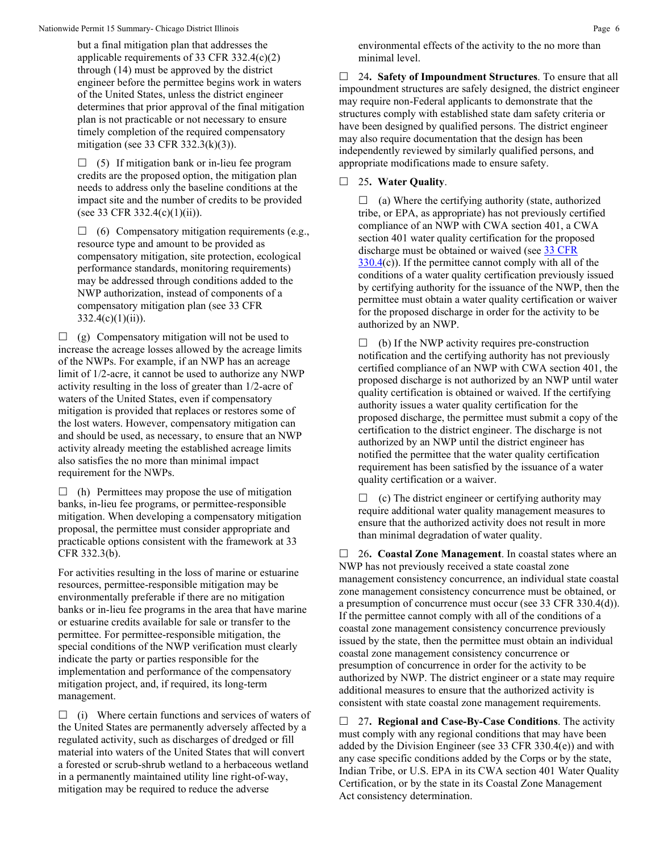Nationwide Permit 15 Summary- Chicago District Illinois Page 6

but a final mitigation plan that addresses the applicable requirements of 33 CFR 332.4(c)(2) through (14) must be approved by the district engineer before the permittee begins work in waters of the United States, unless the district engineer determines that prior approval of the final mitigation plan is not practicable or not necessary to ensure timely completion of the required compensatory mitigation (see 33 CFR 332.3(k)(3)).

 $\Box$  (5) If mitigation bank or in-lieu fee program credits are the proposed option, the mitigation plan needs to address only the baseline conditions at the impact site and the number of credits to be provided (see 33 CFR 332.4(c)(1)(ii)).

 $\Box$  (6) Compensatory mitigation requirements (e.g., resource type and amount to be provided as compensatory mitigation, site protection, ecological performance standards, monitoring requirements) may be addressed through conditions added to the NWP authorization, instead of components of a compensatory mitigation plan (see 33 CFR  $332.4(c)(1)(ii)$ ).

 $\Box$  (g) Compensatory mitigation will not be used to increase the acreage losses allowed by the acreage limits of the NWPs. For example, if an NWP has an acreage limit of 1/2-acre, it cannot be used to authorize any NWP activity resulting in the loss of greater than 1/2-acre of waters of the United States, even if compensatory mitigation is provided that replaces or restores some of the lost waters. However, compensatory mitigation can and should be used, as necessary, to ensure that an NWP activity already meeting the established acreage limits also satisfies the no more than minimal impact requirement for the NWPs.

 $\Box$  (h) Permittees may propose the use of mitigation banks, in-lieu fee programs, or permittee-responsible mitigation. When developing a compensatory mitigation proposal, the permittee must consider appropriate and practicable options consistent with the framework at 33 CFR 332.3(b).

For activities resulting in the loss of marine or estuarine resources, permittee-responsible mitigation may be environmentally preferable if there are no mitigation banks or in-lieu fee programs in the area that have marine or estuarine credits available for sale or transfer to the permittee. For permittee-responsible mitigation, the special conditions of the NWP verification must clearly indicate the party or parties responsible for the implementation and performance of the compensatory mitigation project, and, if required, its long-term management.

 $\Box$  (i) Where certain functions and services of waters of the United States are permanently adversely affected by a regulated activity, such as discharges of dredged or fill material into waters of the United States that will convert a forested or scrub-shrub wetland to a herbaceous wetland in a permanently maintained utility line right-of-way, mitigation may be required to reduce the adverse

environmental effects of the activity to the no more than minimal level.

 24**. Safety of Impoundment Structures**. To ensure that all impoundment structures are safely designed, the district engineer may require non-Federal applicants to demonstrate that the structures comply with established state dam safety criteria or have been designed by qualified persons. The district engineer may also require documentation that the design has been independently reviewed by similarly qualified persons, and appropriate modifications made to ensure safety.

# 25**. Water Quality**.

 $\Box$  (a) Where the certifying authority (state, authorized tribe, or EPA, as appropriate) has not previously certified compliance of an NWP with CWA section 401, a CWA section 401 water quality certification for the proposed discharge must be obtained or waived (see 33 CFR  $330.4(c)$  $330.4(c)$ ). If the permittee cannot comply with all of the conditions of a water quality certification previously issued by certifying authority for the issuance of the NWP, then the permittee must obtain a water quality certification or waiver for the proposed discharge in order for the activity to be authorized by an NWP.

 $\Box$  (b) If the NWP activity requires pre-construction notification and the certifying authority has not previously certified compliance of an NWP with CWA section 401, the proposed discharge is not authorized by an NWP until water quality certification is obtained or waived. If the certifying authority issues a water quality certification for the proposed discharge, the permittee must submit a copy of the certification to the district engineer. The discharge is not authorized by an NWP until the district engineer has notified the permittee that the water quality certification requirement has been satisfied by the issuance of a water quality certification or a waiver.

 $\Box$  (c) The district engineer or certifying authority may require additional water quality management measures to ensure that the authorized activity does not result in more than minimal degradation of water quality.

 26**. Coastal Zone Management**. In coastal states where an NWP has not previously received a state coastal zone management consistency concurrence, an individual state coastal zone management consistency concurrence must be obtained, or a presumption of concurrence must occur (see 33 CFR 330.4(d)). If the permittee cannot comply with all of the conditions of a coastal zone management consistency concurrence previously issued by the state, then the permittee must obtain an individual coastal zone management consistency concurrence or presumption of concurrence in order for the activity to be authorized by NWP. The district engineer or a state may require additional measures to ensure that the authorized activity is consistent with state coastal zone management requirements.

 27**. Regional and Case-By-Case Conditions**. The activity must comply with any regional conditions that may have been added by the Division Engineer (see 33 CFR 330.4(e)) and with any case specific conditions added by the Corps or by the state, Indian Tribe, or U.S. EPA in its CWA section 401 Water Quality Certification, or by the state in its Coastal Zone Management Act consistency determination.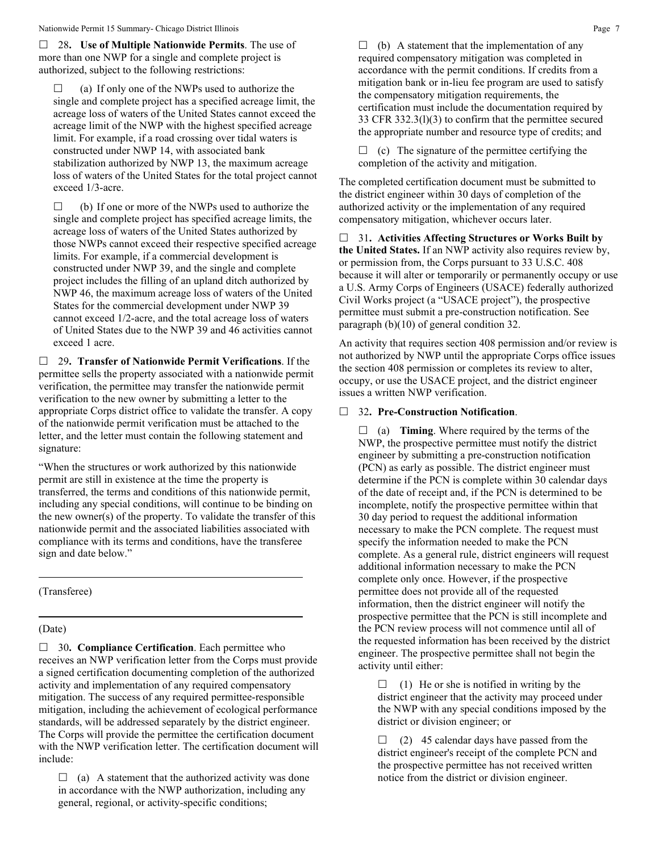28**. Use of Multiple Nationwide Permits**. The use of more than one NWP for a single and complete project is authorized, subject to the following restrictions:

 (a) If only one of the NWPs used to authorize the single and complete project has a specified acreage limit, the acreage loss of waters of the United States cannot exceed the acreage limit of the NWP with the highest specified acreage limit. For example, if a road crossing over tidal waters is constructed under NWP 14, with associated bank stabilization authorized by NWP 13, the maximum acreage loss of waters of the United States for the total project cannot exceed 1/3-acre.

 $\Box$  (b) If one or more of the NWPs used to authorize the single and complete project has specified acreage limits, the acreage loss of waters of the United States authorized by those NWPs cannot exceed their respective specified acreage limits. For example, if a commercial development is constructed under NWP 39, and the single and complete project includes the filling of an upland ditch authorized by NWP 46, the maximum acreage loss of waters of the United States for the commercial development under NWP 39 cannot exceed 1/2-acre, and the total acreage loss of waters of United States due to the NWP 39 and 46 activities cannot exceed 1 acre.

 29**. Transfer of Nationwide Permit Verifications**. If the permittee sells the property associated with a nationwide permit verification, the permittee may transfer the nationwide permit verification to the new owner by submitting a letter to the appropriate Corps district office to validate the transfer. A copy of the nationwide permit verification must be attached to the letter, and the letter must contain the following statement and signature:

"When the structures or work authorized by this nationwide permit are still in existence at the time the property is transferred, the terms and conditions of this nationwide permit, including any special conditions, will continue to be binding on the new owner(s) of the property. To validate the transfer of this nationwide permit and the associated liabilities associated with compliance with its terms and conditions, have the transferee sign and date below."

(Transferee)

## (Date)

□ 30. **Compliance Certification**. Each permittee who receives an NWP verification letter from the Corps must provide a signed certification documenting completion of the authorized activity and implementation of any required compensatory mitigation. The success of any required permittee-responsible mitigation, including the achievement of ecological performance standards, will be addressed separately by the district engineer. The Corps will provide the permittee the certification document with the NWP verification letter. The certification document will include:

 $\Box$  (a) A statement that the authorized activity was done in accordance with the NWP authorization, including any general, regional, or activity-specific conditions;

 $\Box$  (b) A statement that the implementation of any required compensatory mitigation was completed in accordance with the permit conditions. If credits from a mitigation bank or in-lieu fee program are used to satisfy the compensatory mitigation requirements, the certification must include the documentation required by 33 CFR 332.3(l)(3) to confirm that the permittee secured the appropriate number and resource type of credits; and

 $\Box$  (c) The signature of the permittee certifying the completion of the activity and mitigation.

The completed certification document must be submitted to the district engineer within 30 days of completion of the authorized activity or the implementation of any required compensatory mitigation, whichever occurs later.

 31**. Activities Affecting Structures or Works Built by the United States.** If an NWP activity also requires review by, or permission from, the Corps pursuant to 33 U.S.C. 408 because it will alter or temporarily or permanently occupy or use a U.S. Army Corps of Engineers (USACE) federally authorized Civil Works project (a "USACE project"), the prospective permittee must submit a pre-construction notification. See paragraph (b)(10) of general condition 32.

An activity that requires section 408 permission and/or review is not authorized by NWP until the appropriate Corps office issues the section 408 permission or completes its review to alter, occupy, or use the USACE project, and the district engineer issues a written NWP verification.

## 32**. Pre-Construction Notification**.

 $\Box$  (a) **Timing**. Where required by the terms of the NWP, the prospective permittee must notify the district engineer by submitting a pre-construction notification (PCN) as early as possible. The district engineer must determine if the PCN is complete within 30 calendar days of the date of receipt and, if the PCN is determined to be incomplete, notify the prospective permittee within that 30 day period to request the additional information necessary to make the PCN complete. The request must specify the information needed to make the PCN complete. As a general rule, district engineers will request additional information necessary to make the PCN complete only once. However, if the prospective permittee does not provide all of the requested information, then the district engineer will notify the prospective permittee that the PCN is still incomplete and the PCN review process will not commence until all of the requested information has been received by the district engineer. The prospective permittee shall not begin the activity until either:

 $\Box$  (1) He or she is notified in writing by the district engineer that the activity may proceed under the NWP with any special conditions imposed by the district or division engineer; or

 $\Box$  (2) 45 calendar days have passed from the district engineer's receipt of the complete PCN and the prospective permittee has not received written notice from the district or division engineer.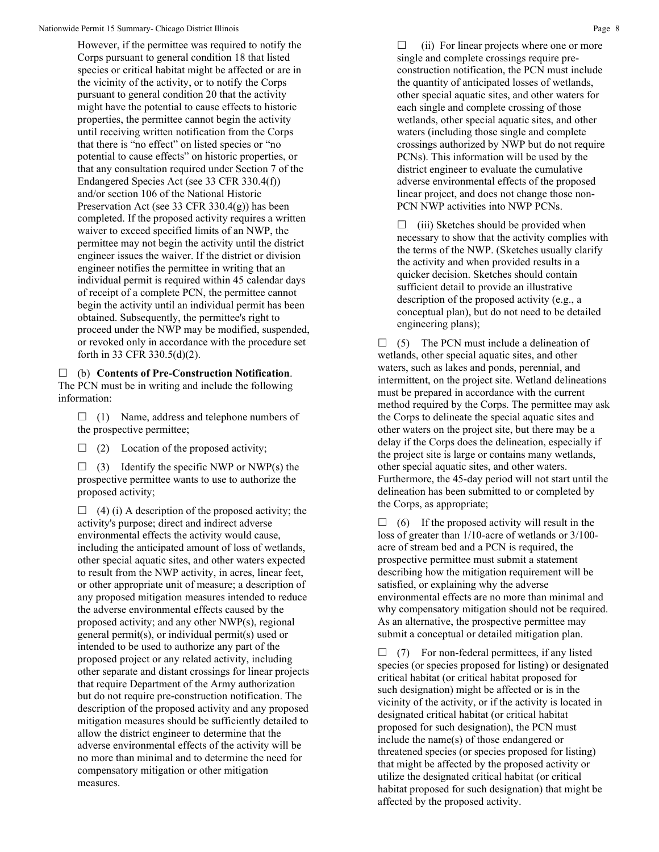Nationwide Permit 15 Summary- Chicago District Illinois Page 8

However, if the permittee was required to notify the Corps pursuant to general condition 18 that listed species or critical habitat might be affected or are in the vicinity of the activity, or to notify the Corps pursuant to general condition 20 that the activity might have the potential to cause effects to historic properties, the permittee cannot begin the activity until receiving written notification from the Corps that there is "no effect" on listed species or "no potential to cause effects" on historic properties, or that any consultation required under Section 7 of the Endangered Species Act (see 33 CFR 330.4(f)) and/or section 106 of the National Historic Preservation Act (see 33 CFR 330.4(g)) has been completed. If the proposed activity requires a written waiver to exceed specified limits of an NWP, the permittee may not begin the activity until the district engineer issues the waiver. If the district or division engineer notifies the permittee in writing that an individual permit is required within 45 calendar days of receipt of a complete PCN, the permittee cannot begin the activity until an individual permit has been obtained. Subsequently, the permittee's right to proceed under the NWP may be modified, suspended, or revoked only in accordance with the procedure set forth in 33 CFR 330.5(d)(2).

 (b) **Contents of Pre-Construction Notification**. The PCN must be in writing and include the following information:

 $\Box$  (1) Name, address and telephone numbers of the prospective permittee;

 $\Box$  (2) Location of the proposed activity;

 $\Box$  (3) Identify the specific NWP or NWP(s) the prospective permittee wants to use to authorize the proposed activity;

 $\Box$  (4) (i) A description of the proposed activity; the activity's purpose; direct and indirect adverse environmental effects the activity would cause, including the anticipated amount of loss of wetlands, other special aquatic sites, and other waters expected to result from the NWP activity, in acres, linear feet, or other appropriate unit of measure; a description of any proposed mitigation measures intended to reduce the adverse environmental effects caused by the proposed activity; and any other NWP(s), regional general permit(s), or individual permit(s) used or intended to be used to authorize any part of the proposed project or any related activity, including other separate and distant crossings for linear projects that require Department of the Army authorization but do not require pre-construction notification. The description of the proposed activity and any proposed mitigation measures should be sufficiently detailed to allow the district engineer to determine that the adverse environmental effects of the activity will be no more than minimal and to determine the need for compensatory mitigation or other mitigation measures.

 $\Box$  (ii) For linear projects where one or more single and complete crossings require preconstruction notification, the PCN must include the quantity of anticipated losses of wetlands, other special aquatic sites, and other waters for each single and complete crossing of those wetlands, other special aquatic sites, and other waters (including those single and complete crossings authorized by NWP but do not require PCNs). This information will be used by the district engineer to evaluate the cumulative adverse environmental effects of the proposed linear project, and does not change those non-PCN NWP activities into NWP PCNs.

 $\Box$  (iii) Sketches should be provided when necessary to show that the activity complies with the terms of the NWP. (Sketches usually clarify the activity and when provided results in a quicker decision. Sketches should contain sufficient detail to provide an illustrative description of the proposed activity (e.g., a conceptual plan), but do not need to be detailed engineering plans);

 $\Box$  (5) The PCN must include a delineation of wetlands, other special aquatic sites, and other waters, such as lakes and ponds, perennial, and intermittent, on the project site. Wetland delineations must be prepared in accordance with the current method required by the Corps. The permittee may ask the Corps to delineate the special aquatic sites and other waters on the project site, but there may be a delay if the Corps does the delineation, especially if the project site is large or contains many wetlands, other special aquatic sites, and other waters. Furthermore, the 45-day period will not start until the delineation has been submitted to or completed by the Corps, as appropriate;

 $\Box$  (6) If the proposed activity will result in the loss of greater than 1/10-acre of wetlands or 3/100 acre of stream bed and a PCN is required, the prospective permittee must submit a statement describing how the mitigation requirement will be satisfied, or explaining why the adverse environmental effects are no more than minimal and why compensatory mitigation should not be required. As an alternative, the prospective permittee may submit a conceptual or detailed mitigation plan.

 $\Box$  (7) For non-federal permittees, if any listed species (or species proposed for listing) or designated critical habitat (or critical habitat proposed for such designation) might be affected or is in the vicinity of the activity, or if the activity is located in designated critical habitat (or critical habitat proposed for such designation), the PCN must include the name(s) of those endangered or threatened species (or species proposed for listing) that might be affected by the proposed activity or utilize the designated critical habitat (or critical habitat proposed for such designation) that might be affected by the proposed activity.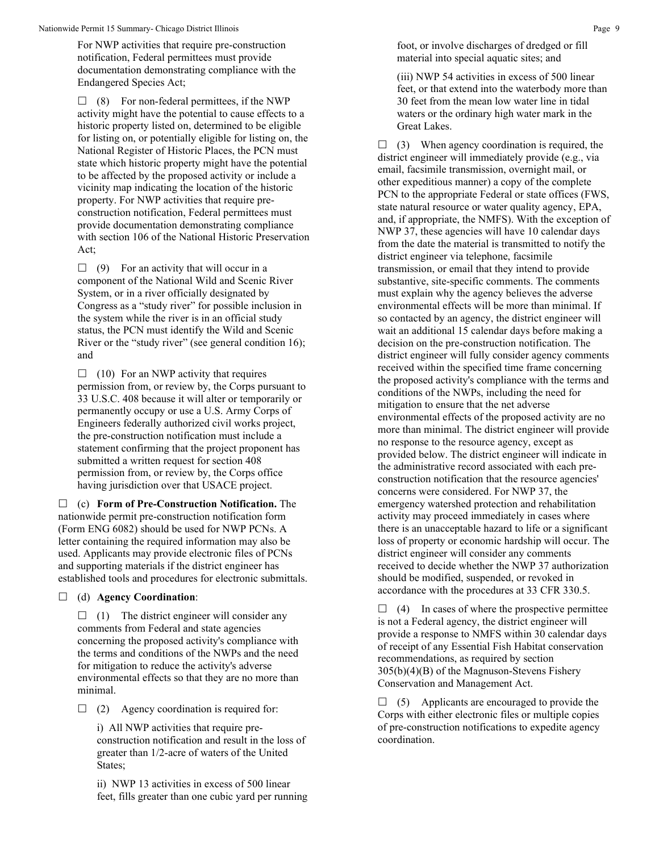For NWP activities that require pre-construction notification, Federal permittees must provide documentation demonstrating compliance with the Endangered Species Act;

 $\Box$  (8) For non-federal permittees, if the NWP activity might have the potential to cause effects to a historic property listed on, determined to be eligible for listing on, or potentially eligible for listing on, the National Register of Historic Places, the PCN must state which historic property might have the potential to be affected by the proposed activity or include a vicinity map indicating the location of the historic property. For NWP activities that require preconstruction notification, Federal permittees must provide documentation demonstrating compliance with section 106 of the National Historic Preservation Act;

 $\Box$  (9) For an activity that will occur in a component of the National Wild and Scenic River System, or in a river officially designated by Congress as a "study river" for possible inclusion in the system while the river is in an official study status, the PCN must identify the Wild and Scenic River or the "study river" (see general condition 16); and

 $\Box$  (10) For an NWP activity that requires permission from, or review by, the Corps pursuant to 33 U.S.C. 408 because it will alter or temporarily or permanently occupy or use a U.S. Army Corps of Engineers federally authorized civil works project, the pre-construction notification must include a statement confirming that the project proponent has submitted a written request for section 408 permission from, or review by, the Corps office having jurisdiction over that USACE project.

 (c) **Form of Pre-Construction Notification.** The nationwide permit pre-construction notification form (Form ENG 6082) should be used for NWP PCNs. A letter containing the required information may also be used. Applicants may provide electronic files of PCNs and supporting materials if the district engineer has established tools and procedures for electronic submittals.

# (d) **Agency Coordination**:

 $\Box$  (1) The district engineer will consider any comments from Federal and state agencies concerning the proposed activity's compliance with the terms and conditions of the NWPs and the need for mitigation to reduce the activity's adverse environmental effects so that they are no more than minimal.

 $\Box$  (2) Agency coordination is required for:

i) All NWP activities that require preconstruction notification and result in the loss of greater than 1/2-acre of waters of the United States;

ii) NWP 13 activities in excess of 500 linear feet, fills greater than one cubic yard per running foot, or involve discharges of dredged or fill material into special aquatic sites; and

(iii) NWP 54 activities in excess of 500 linear feet, or that extend into the waterbody more than 30 feet from the mean low water line in tidal waters or the ordinary high water mark in the Great Lakes.

 $\Box$  (3) When agency coordination is required, the district engineer will immediately provide (e.g., via email, facsimile transmission, overnight mail, or other expeditious manner) a copy of the complete PCN to the appropriate Federal or state offices (FWS, state natural resource or water quality agency, EPA, and, if appropriate, the NMFS). With the exception of NWP 37, these agencies will have 10 calendar days from the date the material is transmitted to notify the district engineer via telephone, facsimile transmission, or email that they intend to provide substantive, site-specific comments. The comments must explain why the agency believes the adverse environmental effects will be more than minimal. If so contacted by an agency, the district engineer will wait an additional 15 calendar days before making a decision on the pre-construction notification. The district engineer will fully consider agency comments received within the specified time frame concerning the proposed activity's compliance with the terms and conditions of the NWPs, including the need for mitigation to ensure that the net adverse environmental effects of the proposed activity are no more than minimal. The district engineer will provide no response to the resource agency, except as provided below. The district engineer will indicate in the administrative record associated with each preconstruction notification that the resource agencies' concerns were considered. For NWP 37, the emergency watershed protection and rehabilitation activity may proceed immediately in cases where there is an unacceptable hazard to life or a significant loss of property or economic hardship will occur. The district engineer will consider any comments received to decide whether the NWP 37 authorization should be modified, suspended, or revoked in accordance with the procedures at 33 CFR 330.5.

 $\Box$  (4) In cases of where the prospective permittee is not a Federal agency, the district engineer will provide a response to NMFS within 30 calendar days of receipt of any Essential Fish Habitat conservation recommendations, as required by section 305(b)(4)(B) of the Magnuson-Stevens Fishery Conservation and Management Act.

 $\Box$  (5) Applicants are encouraged to provide the Corps with either electronic files or multiple copies of pre-construction notifications to expedite agency coordination.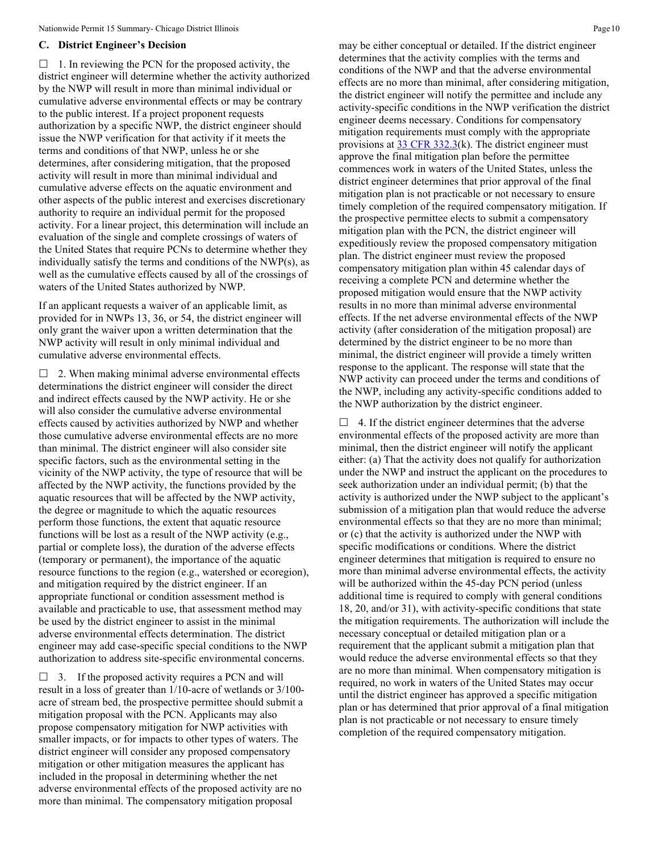#### **C. District Engineer's Decision**

 $\Box$  1. In reviewing the PCN for the proposed activity, the district engineer will determine whether the activity authorized by the NWP will result in more than minimal individual or cumulative adverse environmental effects or may be contrary to the public interest. If a project proponent requests authorization by a specific NWP, the district engineer should issue the NWP verification for that activity if it meets the terms and conditions of that NWP, unless he or she determines, after considering mitigation, that the proposed activity will result in more than minimal individual and cumulative adverse effects on the aquatic environment and other aspects of the public interest and exercises discretionary authority to require an individual permit for the proposed activity. For a linear project, this determination will include an evaluation of the single and complete crossings of waters of the United States that require PCNs to determine whether they individually satisfy the terms and conditions of the NWP(s), as well as the cumulative effects caused by all of the crossings of waters of the United States authorized by NWP.

If an applicant requests a waiver of an applicable limit, as provided for in NWPs 13, 36, or 54, the district engineer will only grant the waiver upon a written determination that the NWP activity will result in only minimal individual and cumulative adverse environmental effects.

 $\Box$  2. When making minimal adverse environmental effects determinations the district engineer will consider the direct and indirect effects caused by the NWP activity. He or she will also consider the cumulative adverse environmental effects caused by activities authorized by NWP and whether those cumulative adverse environmental effects are no more than minimal. The district engineer will also consider site specific factors, such as the environmental setting in the vicinity of the NWP activity, the type of resource that will be affected by the NWP activity, the functions provided by the aquatic resources that will be affected by the NWP activity, the degree or magnitude to which the aquatic resources perform those functions, the extent that aquatic resource functions will be lost as a result of the NWP activity (e.g., partial or complete loss), the duration of the adverse effects (temporary or permanent), the importance of the aquatic resource functions to the region (e.g., watershed or ecoregion), and mitigation required by the district engineer. If an appropriate functional or condition assessment method is available and practicable to use, that assessment method may be used by the district engineer to assist in the minimal adverse environmental effects determination. The district engineer may add case-specific special conditions to the NWP authorization to address site-specific environmental concerns.

 $\Box$  3. If the proposed activity requires a PCN and will result in a loss of greater than 1/10-acre of wetlands or 3/100 acre of stream bed, the prospective permittee should submit a mitigation proposal with the PCN. Applicants may also propose compensatory mitigation for NWP activities with smaller impacts, or for impacts to other types of waters. The district engineer will consider any proposed compensatory mitigation or other mitigation measures the applicant has included in the proposal in determining whether the net adverse environmental effects of the proposed activity are no more than minimal. The compensatory mitigation proposal

may be either conceptual or detailed. If the district engineer determines that the activity complies with the terms and conditions of the NWP and that the adverse environmental effects are no more than minimal, after considering mitigation, the district engineer will notify the permittee and include any activity-specific conditions in the NWP verification the district engineer deems necessary. Conditions for compensatory mitigation requirements must comply with the appropriate provisions at [33 CFR 332.3\(](https://www.federalregister.gov/select-citation/2021/01/13/33-CFR-332.3)k). The district engineer must approve the final mitigation plan before the permittee commences work in waters of the United States, unless the district engineer determines that prior approval of the final mitigation plan is not practicable or not necessary to ensure timely completion of the required compensatory mitigation. If the prospective permittee elects to submit a compensatory mitigation plan with the PCN, the district engineer will expeditiously review the proposed compensatory mitigation plan. The district engineer must review the proposed compensatory mitigation plan within 45 calendar days of receiving a complete PCN and determine whether the proposed mitigation would ensure that the NWP activity results in no more than minimal adverse environmental effects. If the net adverse environmental effects of the NWP activity (after consideration of the mitigation proposal) are determined by the district engineer to be no more than minimal, the district engineer will provide a timely written response to the applicant. The response will state that the NWP activity can proceed under the terms and conditions of the NWP, including any activity-specific conditions added to the NWP authorization by the district engineer.

 $\Box$  4. If the district engineer determines that the adverse environmental effects of the proposed activity are more than minimal, then the district engineer will notify the applicant either: (a) That the activity does not qualify for authorization under the NWP and instruct the applicant on the procedures to seek authorization under an individual permit; (b) that the activity is authorized under the NWP subject to the applicant's submission of a mitigation plan that would reduce the adverse environmental effects so that they are no more than minimal; or (c) that the activity is authorized under the NWP with specific modifications or conditions. Where the district engineer determines that mitigation is required to ensure no more than minimal adverse environmental effects, the activity will be authorized within the 45-day PCN period (unless additional time is required to comply with general conditions 18, 20, and/or 31), with activity-specific conditions that state the mitigation requirements. The authorization will include the necessary conceptual or detailed mitigation plan or a requirement that the applicant submit a mitigation plan that would reduce the adverse environmental effects so that they are no more than minimal. When compensatory mitigation is required, no work in waters of the United States may occur until the district engineer has approved a specific mitigation plan or has determined that prior approval of a final mitigation plan is not practicable or not necessary to ensure timely completion of the required compensatory mitigation.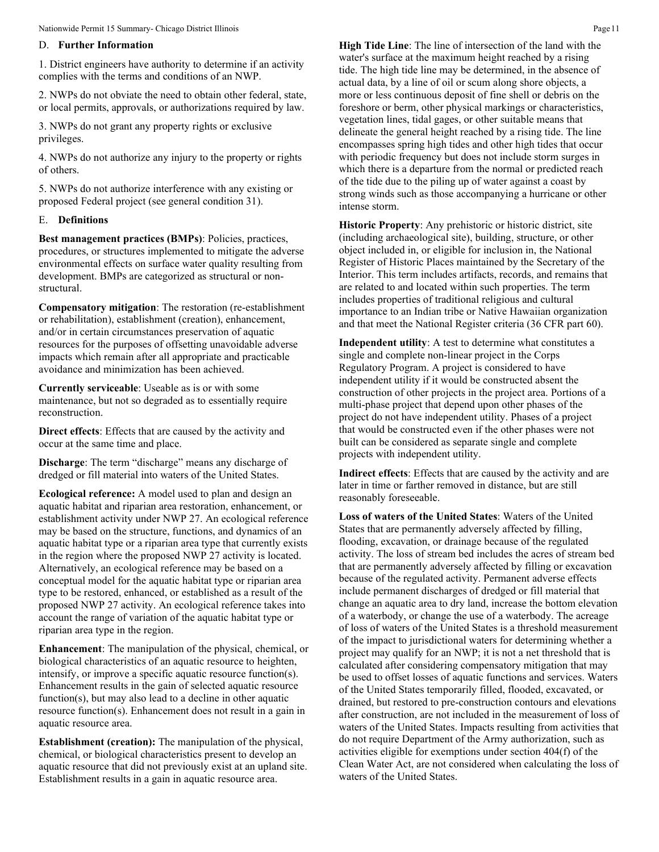## D. **Further Information**

1. District engineers have authority to determine if an activity complies with the terms and conditions of an NWP.

2. NWPs do not obviate the need to obtain other federal, state, or local permits, approvals, or authorizations required by law.

3. NWPs do not grant any property rights or exclusive privileges.

4. NWPs do not authorize any injury to the property or rights of others.

5. NWPs do not authorize interference with any existing or proposed Federal project (see general condition 31).

## E. **Definitions**

**Best management practices (BMPs)**: Policies, practices, procedures, or structures implemented to mitigate the adverse environmental effects on surface water quality resulting from development. BMPs are categorized as structural or nonstructural.

**Compensatory mitigation**: The restoration (re-establishment or rehabilitation), establishment (creation), enhancement, and/or in certain circumstances preservation of aquatic resources for the purposes of offsetting unavoidable adverse impacts which remain after all appropriate and practicable avoidance and minimization has been achieved.

**Currently serviceable**: Useable as is or with some maintenance, but not so degraded as to essentially require reconstruction.

**Direct effects**: Effects that are caused by the activity and occur at the same time and place.

**Discharge**: The term "discharge" means any discharge of dredged or fill material into waters of the United States.

**Ecological reference:** A model used to plan and design an aquatic habitat and riparian area restoration, enhancement, or establishment activity under NWP 27. An ecological reference may be based on the structure, functions, and dynamics of an aquatic habitat type or a riparian area type that currently exists in the region where the proposed NWP 27 activity is located. Alternatively, an ecological reference may be based on a conceptual model for the aquatic habitat type or riparian area type to be restored, enhanced, or established as a result of the proposed NWP 27 activity. An ecological reference takes into account the range of variation of the aquatic habitat type or riparian area type in the region.

**Enhancement**: The manipulation of the physical, chemical, or biological characteristics of an aquatic resource to heighten, intensify, or improve a specific aquatic resource function(s). Enhancement results in the gain of selected aquatic resource function(s), but may also lead to a decline in other aquatic resource function(s). Enhancement does not result in a gain in aquatic resource area.

**Establishment (creation):** The manipulation of the physical, chemical, or biological characteristics present to develop an aquatic resource that did not previously exist at an upland site. Establishment results in a gain in aquatic resource area.

**High Tide Line**: The line of intersection of the land with the water's surface at the maximum height reached by a rising tide. The high tide line may be determined, in the absence of actual data, by a line of oil or scum along shore objects, a more or less continuous deposit of fine shell or debris on the foreshore or berm, other physical markings or characteristics, vegetation lines, tidal gages, or other suitable means that delineate the general height reached by a rising tide. The line encompasses spring high tides and other high tides that occur with periodic frequency but does not include storm surges in which there is a departure from the normal or predicted reach of the tide due to the piling up of water against a coast by strong winds such as those accompanying a hurricane or other intense storm.

**Historic Property**: Any prehistoric or historic district, site (including archaeological site), building, structure, or other object included in, or eligible for inclusion in, the National Register of Historic Places maintained by the Secretary of the Interior. This term includes artifacts, records, and remains that are related to and located within such properties. The term includes properties of traditional religious and cultural importance to an Indian tribe or Native Hawaiian organization and that meet the National Register criteria (36 CFR part 60).

**Independent utility**: A test to determine what constitutes a single and complete non-linear project in the Corps Regulatory Program. A project is considered to have independent utility if it would be constructed absent the construction of other projects in the project area. Portions of a multi-phase project that depend upon other phases of the project do not have independent utility. Phases of a project that would be constructed even if the other phases were not built can be considered as separate single and complete projects with independent utility.

**Indirect effects**: Effects that are caused by the activity and are later in time or farther removed in distance, but are still reasonably foreseeable.

**Loss of waters of the United States**: Waters of the United States that are permanently adversely affected by filling, flooding, excavation, or drainage because of the regulated activity. The loss of stream bed includes the acres of stream bed that are permanently adversely affected by filling or excavation because of the regulated activity. Permanent adverse effects include permanent discharges of dredged or fill material that change an aquatic area to dry land, increase the bottom elevation of a waterbody, or change the use of a waterbody. The acreage of loss of waters of the United States is a threshold measurement of the impact to jurisdictional waters for determining whether a project may qualify for an NWP; it is not a net threshold that is calculated after considering compensatory mitigation that may be used to offset losses of aquatic functions and services. Waters of the United States temporarily filled, flooded, excavated, or drained, but restored to pre-construction contours and elevations after construction, are not included in the measurement of loss of waters of the United States. Impacts resulting from activities that do not require Department of the Army authorization, such as activities eligible for exemptions under section 404(f) of the Clean Water Act, are not considered when calculating the loss of waters of the United States.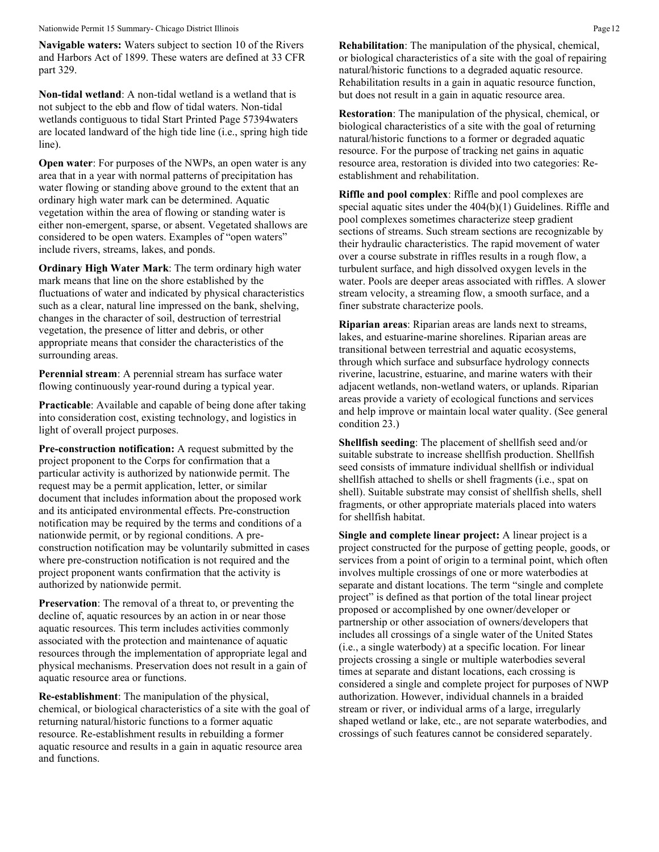Nationwide Permit 15 Summary- Chicago District Illinois Page 12

**Navigable waters:** Waters subject to section 10 of the Rivers and Harbors Act of 1899. These waters are defined at 33 CFR part 329.

**Non-tidal wetland**: A non-tidal wetland is a wetland that is not subject to the ebb and flow of tidal waters. Non-tidal wetlands contiguous to tidal Start Printed Page 57394waters are located landward of the high tide line (i.e., spring high tide line).

**Open water:** For purposes of the NWPs, an open water is any area that in a year with normal patterns of precipitation has water flowing or standing above ground to the extent that an ordinary high water mark can be determined. Aquatic vegetation within the area of flowing or standing water is either non-emergent, sparse, or absent. Vegetated shallows are considered to be open waters. Examples of "open waters" include rivers, streams, lakes, and ponds.

**Ordinary High Water Mark**: The term ordinary high water mark means that line on the shore established by the fluctuations of water and indicated by physical characteristics such as a clear, natural line impressed on the bank, shelving, changes in the character of soil, destruction of terrestrial vegetation, the presence of litter and debris, or other appropriate means that consider the characteristics of the surrounding areas.

**Perennial stream**: A perennial stream has surface water flowing continuously year-round during a typical year.

**Practicable**: Available and capable of being done after taking into consideration cost, existing technology, and logistics in light of overall project purposes.

**Pre-construction notification:** A request submitted by the project proponent to the Corps for confirmation that a particular activity is authorized by nationwide permit. The request may be a permit application, letter, or similar document that includes information about the proposed work and its anticipated environmental effects. Pre-construction notification may be required by the terms and conditions of a nationwide permit, or by regional conditions. A preconstruction notification may be voluntarily submitted in cases where pre-construction notification is not required and the project proponent wants confirmation that the activity is authorized by nationwide permit.

**Preservation**: The removal of a threat to, or preventing the decline of, aquatic resources by an action in or near those aquatic resources. This term includes activities commonly associated with the protection and maintenance of aquatic resources through the implementation of appropriate legal and physical mechanisms. Preservation does not result in a gain of aquatic resource area or functions.

**Re-establishment**: The manipulation of the physical, chemical, or biological characteristics of a site with the goal of returning natural/historic functions to a former aquatic resource. Re-establishment results in rebuilding a former aquatic resource and results in a gain in aquatic resource area and functions.

**Rehabilitation**: The manipulation of the physical, chemical, or biological characteristics of a site with the goal of repairing natural/historic functions to a degraded aquatic resource. Rehabilitation results in a gain in aquatic resource function, but does not result in a gain in aquatic resource area.

**Restoration**: The manipulation of the physical, chemical, or biological characteristics of a site with the goal of returning natural/historic functions to a former or degraded aquatic resource. For the purpose of tracking net gains in aquatic resource area, restoration is divided into two categories: Reestablishment and rehabilitation.

**Riffle and pool complex**: Riffle and pool complexes are special aquatic sites under the 404(b)(1) Guidelines. Riffle and pool complexes sometimes characterize steep gradient sections of streams. Such stream sections are recognizable by their hydraulic characteristics. The rapid movement of water over a course substrate in riffles results in a rough flow, a turbulent surface, and high dissolved oxygen levels in the water. Pools are deeper areas associated with riffles. A slower stream velocity, a streaming flow, a smooth surface, and a finer substrate characterize pools.

**Riparian areas**: Riparian areas are lands next to streams, lakes, and estuarine-marine shorelines. Riparian areas are transitional between terrestrial and aquatic ecosystems, through which surface and subsurface hydrology connects riverine, lacustrine, estuarine, and marine waters with their adjacent wetlands, non-wetland waters, or uplands. Riparian areas provide a variety of ecological functions and services and help improve or maintain local water quality. (See general condition 23.)

**Shellfish seeding**: The placement of shellfish seed and/or suitable substrate to increase shellfish production. Shellfish seed consists of immature individual shellfish or individual shellfish attached to shells or shell fragments (i.e., spat on shell). Suitable substrate may consist of shellfish shells, shell fragments, or other appropriate materials placed into waters for shellfish habitat.

**Single and complete linear project:** A linear project is a project constructed for the purpose of getting people, goods, or services from a point of origin to a terminal point, which often involves multiple crossings of one or more waterbodies at separate and distant locations. The term "single and complete project" is defined as that portion of the total linear project proposed or accomplished by one owner/developer or partnership or other association of owners/developers that includes all crossings of a single water of the United States (i.e., a single waterbody) at a specific location. For linear projects crossing a single or multiple waterbodies several times at separate and distant locations, each crossing is considered a single and complete project for purposes of NWP authorization. However, individual channels in a braided stream or river, or individual arms of a large, irregularly shaped wetland or lake, etc., are not separate waterbodies, and crossings of such features cannot be considered separately.